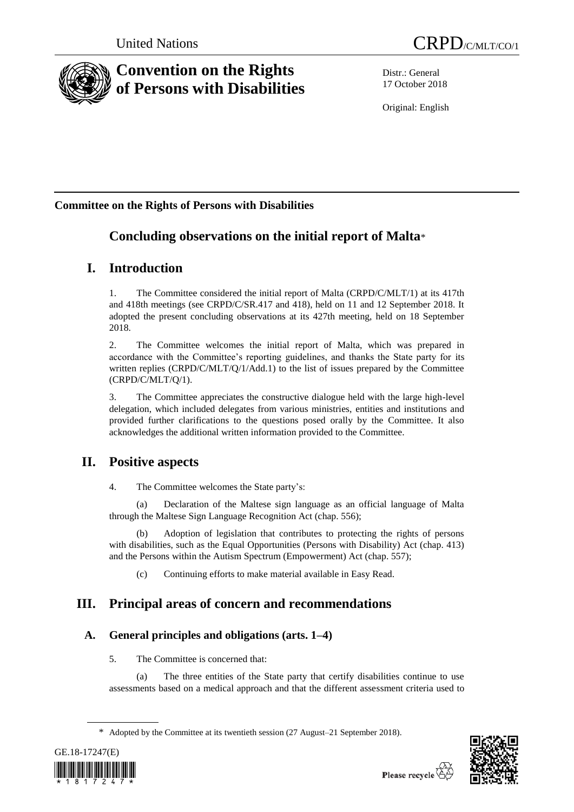

# **Convention on the Rights of Persons with Disabilities**

Distr.: General 17 October 2018

Original: English

## **Committee on the Rights of Persons with Disabilities**

## **Concluding observations on the initial report of Malta**\*

## **I. Introduction**

1. The Committee considered the initial report of Malta (CRPD/C/MLT/1) at its 417th and 418th meetings (see CRPD/C/SR.417 and 418), held on 11 and 12 September 2018. It adopted the present concluding observations at its 427th meeting, held on 18 September 2018.

2. The Committee welcomes the initial report of Malta, which was prepared in accordance with the Committee's reporting guidelines, and thanks the State party for its written replies (CRPD/C/MLT/Q/1/Add.1) to the list of issues prepared by the Committee (CRPD/C/MLT/Q/1).

3. The Committee appreciates the constructive dialogue held with the large high-level delegation, which included delegates from various ministries, entities and institutions and provided further clarifications to the questions posed orally by the Committee. It also acknowledges the additional written information provided to the Committee.

## **II. Positive aspects**

4. The Committee welcomes the State party's:

(a) Declaration of the Maltese sign language as an official language of Malta through the Maltese Sign Language Recognition Act (chap. 556);

(b) Adoption of legislation that contributes to protecting the rights of persons with disabilities, such as the Equal Opportunities (Persons with Disability) Act (chap. 413) and the Persons within the Autism Spectrum (Empowerment) Act (chap. 557);

(c) Continuing efforts to make material available in Easy Read.

## **III. Principal areas of concern and recommendations**

## **A. General principles and obligations (arts. 1–4)**

5. The Committee is concerned that:

(a) The three entities of the State party that certify disabilities continue to use assessments based on a medical approach and that the different assessment criteria used to

<sup>\*</sup> Adopted by the Committee at its twentieth session (27 August–21 September 2018).



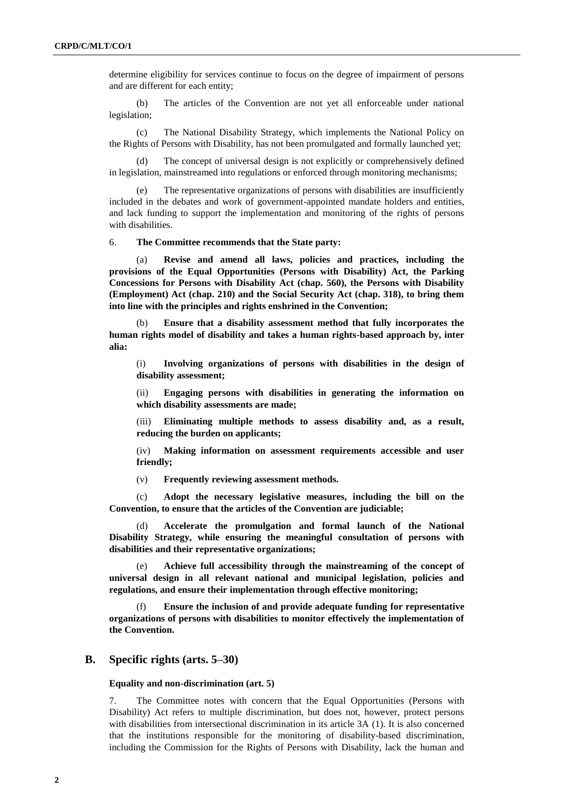determine eligibility for services continue to focus on the degree of impairment of persons and are different for each entity;

(b) The articles of the Convention are not yet all enforceable under national legislation;

(c) The National Disability Strategy, which implements the National Policy on the Rights of Persons with Disability, has not been promulgated and formally launched yet;

(d) The concept of universal design is not explicitly or comprehensively defined in legislation, mainstreamed into regulations or enforced through monitoring mechanisms;

(e) The representative organizations of persons with disabilities are insufficiently included in the debates and work of government-appointed mandate holders and entities, and lack funding to support the implementation and monitoring of the rights of persons with disabilities.

6. **The Committee recommends that the State party:**

Revise and amend all laws, policies and practices, including the **provisions of the Equal Opportunities (Persons with Disability) Act, the Parking Concessions for Persons with Disability Act (chap. 560), the Persons with Disability (Employment) Act (chap. 210) and the Social Security Act (chap. 318), to bring them into line with the principles and rights enshrined in the Convention;** 

(b) **Ensure that a disability assessment method that fully incorporates the human rights model of disability and takes a human rights-based approach by, inter alia:**

(i) **Involving organizations of persons with disabilities in the design of disability assessment;**

(ii) **Engaging persons with disabilities in generating the information on which disability assessments are made;**

(iii) **Eliminating multiple methods to assess disability and, as a result, reducing the burden on applicants;**

(iv) **Making information on assessment requirements accessible and user friendly;**

(v) **Frequently reviewing assessment methods.**

(c) **Adopt the necessary legislative measures, including the bill on the Convention, to ensure that the articles of the Convention are judiciable;**

(d) **Accelerate the promulgation and formal launch of the National Disability Strategy, while ensuring the meaningful consultation of persons with disabilities and their representative organizations;**

(e) **Achieve full accessibility through the mainstreaming of the concept of universal design in all relevant national and municipal legislation, policies and regulations, and ensure their implementation through effective monitoring;**

(f) **Ensure the inclusion of and provide adequate funding for representative organizations of persons with disabilities to monitor effectively the implementation of the Convention.**

## **B. Specific rights (arts. 5–30)**

**Equality and non-discrimination (art. 5)**

7. The Committee notes with concern that the Equal Opportunities (Persons with Disability) Act refers to multiple discrimination, but does not, however, protect persons with disabilities from intersectional discrimination in its article 3A (1). It is also concerned that the institutions responsible for the monitoring of disability-based discrimination, including the Commission for the Rights of Persons with Disability, lack the human and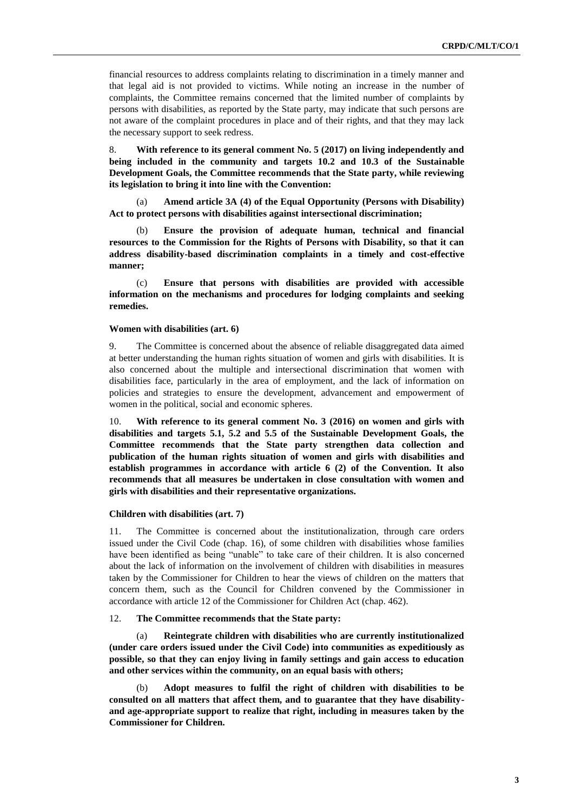financial resources to address complaints relating to discrimination in a timely manner and that legal aid is not provided to victims. While noting an increase in the number of complaints, the Committee remains concerned that the limited number of complaints by persons with disabilities, as reported by the State party, may indicate that such persons are not aware of the complaint procedures in place and of their rights, and that they may lack the necessary support to seek redress.

8. **With reference to its general comment No. 5 (2017) on living independently and being included in the community and targets 10.2 and 10.3 of the Sustainable Development Goals, the Committee recommends that the State party, while reviewing its legislation to bring it into line with the Convention:** 

(a) **Amend article 3A (4) of the Equal Opportunity (Persons with Disability) Act to protect persons with disabilities against intersectional discrimination;** 

(b) **Ensure the provision of adequate human, technical and financial resources to the Commission for the Rights of Persons with Disability, so that it can address disability-based discrimination complaints in a timely and cost-effective manner;**

(c) **Ensure that persons with disabilities are provided with accessible information on the mechanisms and procedures for lodging complaints and seeking remedies.**

### **Women with disabilities (art. 6)**

9. The Committee is concerned about the absence of reliable disaggregated data aimed at better understanding the human rights situation of women and girls with disabilities. It is also concerned about the multiple and intersectional discrimination that women with disabilities face, particularly in the area of employment, and the lack of information on policies and strategies to ensure the development, advancement and empowerment of women in the political, social and economic spheres.

10. **With reference to its general comment No. 3 (2016) on women and girls with disabilities and targets 5.1, 5.2 and 5.5 of the Sustainable Development Goals, the Committee recommends that the State party strengthen data collection and publication of the human rights situation of women and girls with disabilities and establish programmes in accordance with article 6 (2) of the Convention. It also recommends that all measures be undertaken in close consultation with women and girls with disabilities and their representative organizations.**

#### **Children with disabilities (art. 7)**

11. The Committee is concerned about the institutionalization, through care orders issued under the Civil Code (chap. 16), of some children with disabilities whose families have been identified as being "unable" to take care of their children. It is also concerned about the lack of information on the involvement of children with disabilities in measures taken by the Commissioner for Children to hear the views of children on the matters that concern them, such as the Council for Children convened by the Commissioner in accordance with article 12 of the Commissioner for Children Act (chap. 462).

## 12. **The Committee recommends that the State party:**

(a) **Reintegrate children with disabilities who are currently institutionalized (under care orders issued under the Civil Code) into communities as expeditiously as possible, so that they can enjoy living in family settings and gain access to education and other services within the community, on an equal basis with others;** 

(b) **Adopt measures to fulfil the right of children with disabilities to be consulted on all matters that affect them, and to guarantee that they have disabilityand age-appropriate support to realize that right, including in measures taken by the Commissioner for Children.**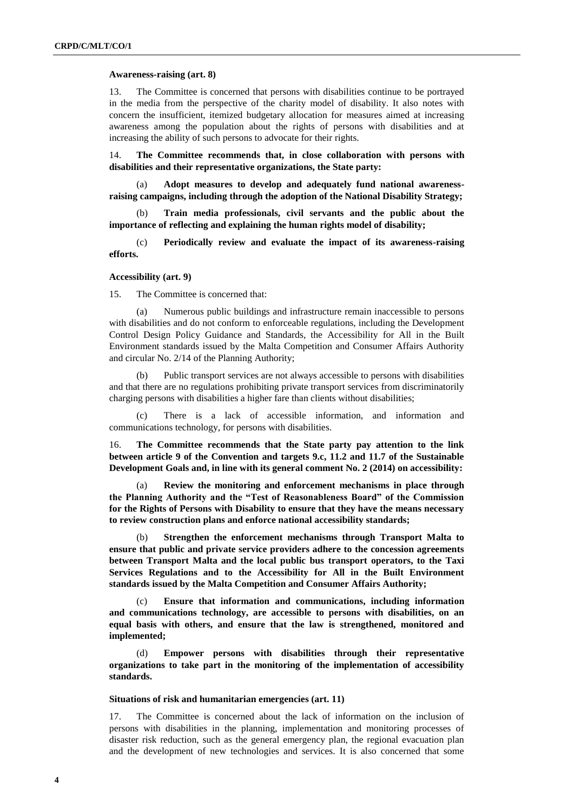### **Awareness-raising (art. 8)**

13. The Committee is concerned that persons with disabilities continue to be portrayed in the media from the perspective of the charity model of disability. It also notes with concern the insufficient, itemized budgetary allocation for measures aimed at increasing awareness among the population about the rights of persons with disabilities and at increasing the ability of such persons to advocate for their rights.

14. **The Committee recommends that, in close collaboration with persons with disabilities and their representative organizations, the State party:**

(a) **Adopt measures to develop and adequately fund national awarenessraising campaigns, including through the adoption of the National Disability Strategy;** 

(b) **Train media professionals, civil servants and the public about the importance of reflecting and explaining the human rights model of disability;** 

(c) **Periodically review and evaluate the impact of its awareness-raising efforts.** 

#### **Accessibility (art. 9)**

15. The Committee is concerned that:

(a) Numerous public buildings and infrastructure remain inaccessible to persons with disabilities and do not conform to enforceable regulations, including the Development Control Design Policy Guidance and Standards, the Accessibility for All in the Built Environment standards issued by the Malta Competition and Consumer Affairs Authority and circular No. 2/14 of the Planning Authority;

(b) Public transport services are not always accessible to persons with disabilities and that there are no regulations prohibiting private transport services from discriminatorily charging persons with disabilities a higher fare than clients without disabilities;

(c) There is a lack of accessible information, and information and communications technology, for persons with disabilities.

16. **The Committee recommends that the State party pay attention to the link between article 9 of the Convention and targets 9.c, 11.2 and 11.7 of the Sustainable Development Goals and, in line with its general comment No. 2 (2014) on accessibility:** 

Review the monitoring and enforcement mechanisms in place through **the Planning Authority and the "Test of Reasonableness Board" of the Commission for the Rights of Persons with Disability to ensure that they have the means necessary to review construction plans and enforce national accessibility standards;** 

(b) **Strengthen the enforcement mechanisms through Transport Malta to ensure that public and private service providers adhere to the concession agreements between Transport Malta and the local public bus transport operators, to the Taxi Services Regulations and to the Accessibility for All in the Built Environment standards issued by the Malta Competition and Consumer Affairs Authority;** 

(c) **Ensure that information and communications, including information and communications technology, are accessible to persons with disabilities, on an equal basis with others, and ensure that the law is strengthened, monitored and implemented;** 

(d) **Empower persons with disabilities through their representative organizations to take part in the monitoring of the implementation of accessibility standards.** 

#### **Situations of risk and humanitarian emergencies (art. 11)**

17. The Committee is concerned about the lack of information on the inclusion of persons with disabilities in the planning, implementation and monitoring processes of disaster risk reduction, such as the general emergency plan, the regional evacuation plan and the development of new technologies and services. It is also concerned that some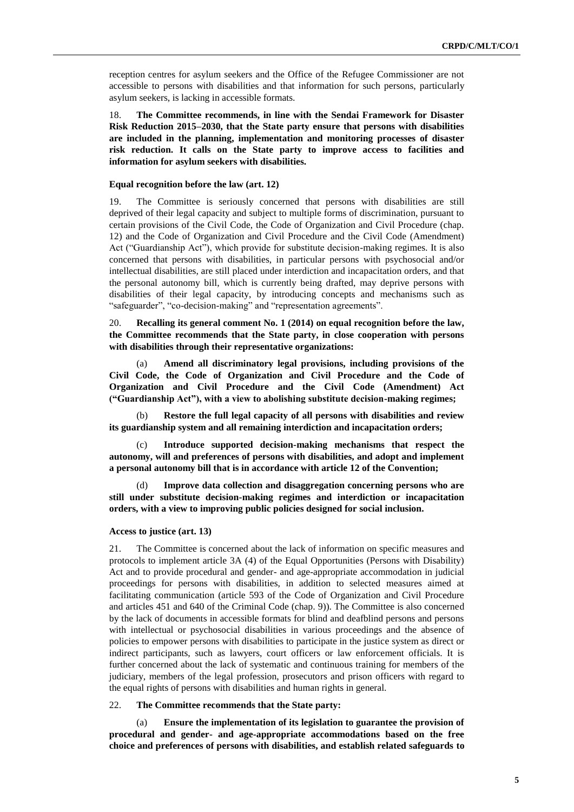reception centres for asylum seekers and the Office of the Refugee Commissioner are not accessible to persons with disabilities and that information for such persons, particularly asylum seekers, is lacking in accessible formats.

18. **The Committee recommends, in line with the Sendai Framework for Disaster Risk Reduction 2015–2030, that the State party ensure that persons with disabilities are included in the planning, implementation and monitoring processes of disaster risk reduction. It calls on the State party to improve access to facilities and information for asylum seekers with disabilities.** 

## **Equal recognition before the law (art. 12)**

19. The Committee is seriously concerned that persons with disabilities are still deprived of their legal capacity and subject to multiple forms of discrimination, pursuant to certain provisions of the Civil Code, the Code of Organization and Civil Procedure (chap. 12) and the Code of Organization and Civil Procedure and the Civil Code (Amendment) Act ("Guardianship Act"), which provide for substitute decision-making regimes. It is also concerned that persons with disabilities, in particular persons with psychosocial and/or intellectual disabilities, are still placed under interdiction and incapacitation orders, and that the personal autonomy bill, which is currently being drafted, may deprive persons with disabilities of their legal capacity, by introducing concepts and mechanisms such as "safeguarder", "co-decision-making" and "representation agreements".

20. **Recalling its general comment No. 1 (2014) on equal recognition before the law, the Committee recommends that the State party, in close cooperation with persons with disabilities through their representative organizations:**

(a) **Amend all discriminatory legal provisions, including provisions of the Civil Code, the Code of Organization and Civil Procedure and the Code of Organization and Civil Procedure and the Civil Code (Amendment) Act ("Guardianship Act"), with a view to abolishing substitute decision-making regimes;**

(b) **Restore the full legal capacity of all persons with disabilities and review its guardianship system and all remaining interdiction and incapacitation orders;** 

(c) **Introduce supported decision-making mechanisms that respect the autonomy, will and preferences of persons with disabilities, and adopt and implement a personal autonomy bill that is in accordance with article 12 of the Convention;** 

(d) **Improve data collection and disaggregation concerning persons who are still under substitute decision-making regimes and interdiction or incapacitation orders, with a view to improving public policies designed for social inclusion.** 

### **Access to justice (art. 13)**

21. The Committee is concerned about the lack of information on specific measures and protocols to implement article 3A (4) of the Equal Opportunities (Persons with Disability) Act and to provide procedural and gender- and age-appropriate accommodation in judicial proceedings for persons with disabilities, in addition to selected measures aimed at facilitating communication (article 593 of the Code of Organization and Civil Procedure and articles 451 and 640 of the Criminal Code (chap. 9)). The Committee is also concerned by the lack of documents in accessible formats for blind and deafblind persons and persons with intellectual or psychosocial disabilities in various proceedings and the absence of policies to empower persons with disabilities to participate in the justice system as direct or indirect participants, such as lawyers, court officers or law enforcement officials. It is further concerned about the lack of systematic and continuous training for members of the judiciary, members of the legal profession, prosecutors and prison officers with regard to the equal rights of persons with disabilities and human rights in general.

## 22. **The Committee recommends that the State party:**

(a) **Ensure the implementation of its legislation to guarantee the provision of procedural and gender- and age-appropriate accommodations based on the free choice and preferences of persons with disabilities, and establish related safeguards to**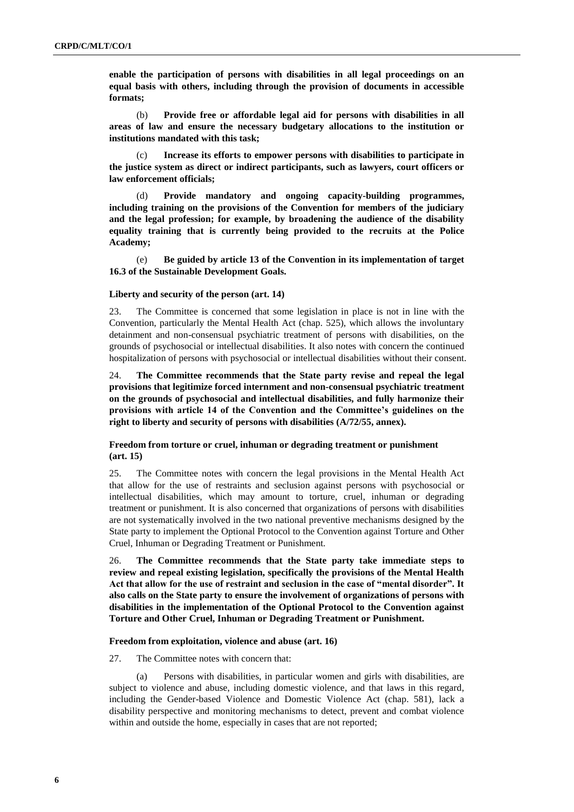**enable the participation of persons with disabilities in all legal proceedings on an equal basis with others, including through the provision of documents in accessible formats;**

(b) **Provide free or affordable legal aid for persons with disabilities in all areas of law and ensure the necessary budgetary allocations to the institution or institutions mandated with this task;**

(c) **Increase its efforts to empower persons with disabilities to participate in the justice system as direct or indirect participants, such as lawyers, court officers or law enforcement officials;** 

(d) **Provide mandatory and ongoing capacity-building programmes, including training on the provisions of the Convention for members of the judiciary and the legal profession; for example, by broadening the audience of the disability equality training that is currently being provided to the recruits at the Police Academy;** 

(e) **Be guided by article 13 of the Convention in its implementation of target 16.3 of the Sustainable Development Goals.** 

## **Liberty and security of the person (art. 14)**

23. The Committee is concerned that some legislation in place is not in line with the Convention, particularly the Mental Health Act (chap. 525), which allows the involuntary detainment and non-consensual psychiatric treatment of persons with disabilities, on the grounds of psychosocial or intellectual disabilities. It also notes with concern the continued hospitalization of persons with psychosocial or intellectual disabilities without their consent.

24. **The Committee recommends that the State party revise and repeal the legal provisions that legitimize forced internment and non-consensual psychiatric treatment on the grounds of psychosocial and intellectual disabilities, and fully harmonize their provisions with article 14 of the Convention and the Committee's guidelines on the right to liberty and security of persons with disabilities (A/72/55, annex).**

## **Freedom from torture or cruel, inhuman or degrading treatment or punishment (art. 15)**

25. The Committee notes with concern the legal provisions in the Mental Health Act that allow for the use of restraints and seclusion against persons with psychosocial or intellectual disabilities, which may amount to torture, cruel, inhuman or degrading treatment or punishment. It is also concerned that organizations of persons with disabilities are not systematically involved in the two national preventive mechanisms designed by the State party to implement the Optional Protocol to the Convention against Torture and Other Cruel, Inhuman or Degrading Treatment or Punishment.

26. **The Committee recommends that the State party take immediate steps to review and repeal existing legislation, specifically the provisions of the Mental Health Act that allow for the use of restraint and seclusion in the case of "mental disorder". It also calls on the State party to ensure the involvement of organizations of persons with disabilities in the implementation of the Optional Protocol to the Convention against Torture and Other Cruel, Inhuman or Degrading Treatment or Punishment.** 

## **Freedom from exploitation, violence and abuse (art. 16)**

27. The Committee notes with concern that:

(a) Persons with disabilities, in particular women and girls with disabilities, are subject to violence and abuse, including domestic violence, and that laws in this regard, including the Gender-based Violence and Domestic Violence Act (chap. 581), lack a disability perspective and monitoring mechanisms to detect, prevent and combat violence within and outside the home, especially in cases that are not reported;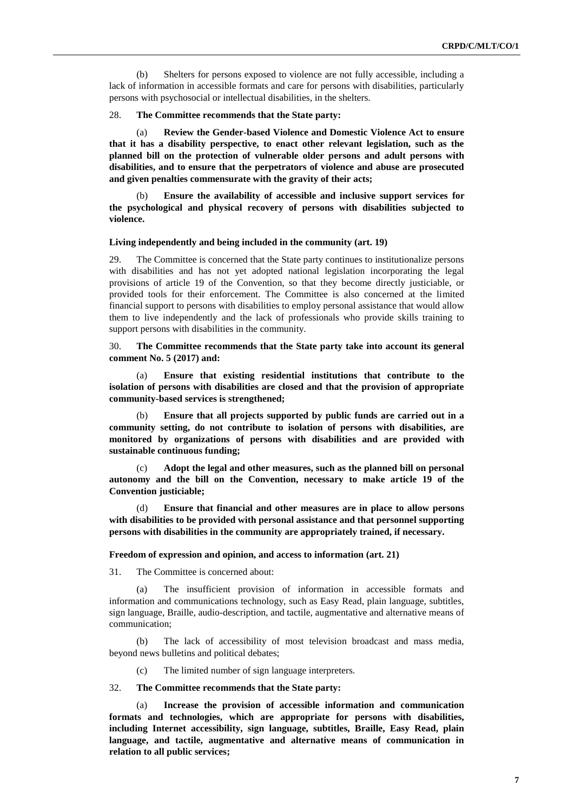(b) Shelters for persons exposed to violence are not fully accessible, including a lack of information in accessible formats and care for persons with disabilities, particularly persons with psychosocial or intellectual disabilities, in the shelters.

28. **The Committee recommends that the State party:**

(a) **Review the Gender-based Violence and Domestic Violence Act to ensure that it has a disability perspective, to enact other relevant legislation, such as the planned bill on the protection of vulnerable older persons and adult persons with disabilities, and to ensure that the perpetrators of violence and abuse are prosecuted and given penalties commensurate with the gravity of their acts;** 

(b) **Ensure the availability of accessible and inclusive support services for the psychological and physical recovery of persons with disabilities subjected to violence.** 

#### **Living independently and being included in the community (art. 19)**

29. The Committee is concerned that the State party continues to institutionalize persons with disabilities and has not yet adopted national legislation incorporating the legal provisions of article 19 of the Convention, so that they become directly justiciable, or provided tools for their enforcement. The Committee is also concerned at the limited financial support to persons with disabilities to employ personal assistance that would allow them to live independently and the lack of professionals who provide skills training to support persons with disabilities in the community.

30. **The Committee recommends that the State party take into account its general comment No. 5 (2017) and:** 

(a) **Ensure that existing residential institutions that contribute to the isolation of persons with disabilities are closed and that the provision of appropriate community-based services is strengthened;**

(b) **Ensure that all projects supported by public funds are carried out in a community setting, do not contribute to isolation of persons with disabilities, are monitored by organizations of persons with disabilities and are provided with sustainable continuous funding;**

(c) **Adopt the legal and other measures, such as the planned bill on personal autonomy and the bill on the Convention, necessary to make article 19 of the Convention justiciable;**

Ensure that financial and other measures are in place to allow persons **with disabilities to be provided with personal assistance and that personnel supporting persons with disabilities in the community are appropriately trained, if necessary.**

## **Freedom of expression and opinion, and access to information (art. 21)**

31. The Committee is concerned about:

(a) The insufficient provision of information in accessible formats and information and communications technology, such as Easy Read, plain language, subtitles, sign language, Braille, audio-description, and tactile, augmentative and alternative means of communication;

(b) The lack of accessibility of most television broadcast and mass media, beyond news bulletins and political debates;

(c) The limited number of sign language interpreters.

## 32. **The Committee recommends that the State party:**

(a) **Increase the provision of accessible information and communication formats and technologies, which are appropriate for persons with disabilities, including Internet accessibility, sign language, subtitles, Braille, Easy Read, plain language, and tactile, augmentative and alternative means of communication in relation to all public services;**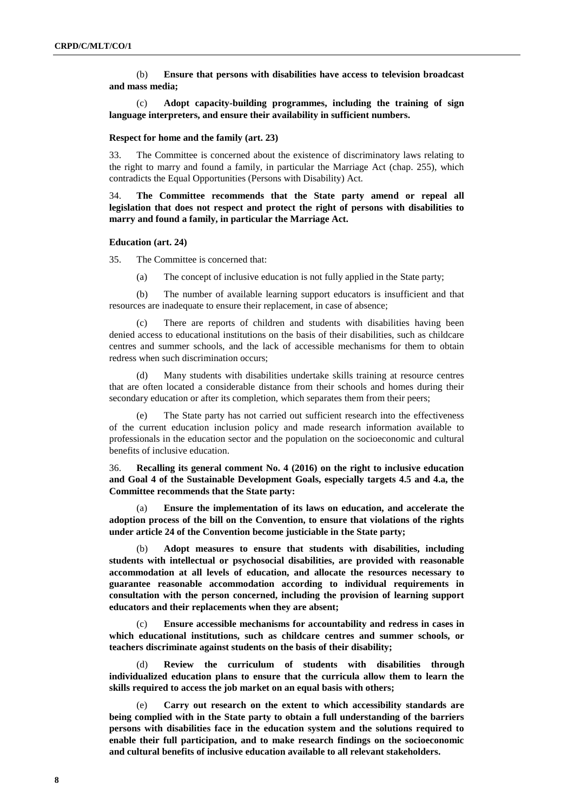(b) **Ensure that persons with disabilities have access to television broadcast and mass media;** 

(c) **Adopt capacity-building programmes, including the training of sign language interpreters, and ensure their availability in sufficient numbers.** 

#### **Respect for home and the family (art. 23)**

33. The Committee is concerned about the existence of discriminatory laws relating to the right to marry and found a family, in particular the Marriage Act (chap. 255), which contradicts the Equal Opportunities (Persons with Disability) Act.

34. **The Committee recommends that the State party amend or repeal all legislation that does not respect and protect the right of persons with disabilities to marry and found a family, in particular the Marriage Act.**

#### **Education (art. 24)**

35. The Committee is concerned that:

(a) The concept of inclusive education is not fully applied in the State party;

(b) The number of available learning support educators is insufficient and that resources are inadequate to ensure their replacement, in case of absence;

There are reports of children and students with disabilities having been denied access to educational institutions on the basis of their disabilities, such as childcare centres and summer schools, and the lack of accessible mechanisms for them to obtain redress when such discrimination occurs;

(d) Many students with disabilities undertake skills training at resource centres that are often located a considerable distance from their schools and homes during their secondary education or after its completion, which separates them from their peers;

(e) The State party has not carried out sufficient research into the effectiveness of the current education inclusion policy and made research information available to professionals in the education sector and the population on the socioeconomic and cultural benefits of inclusive education.

36. **Recalling its general comment No. 4 (2016) on the right to inclusive education and Goal 4 of the Sustainable Development Goals, especially targets 4.5 and 4.a, the Committee recommends that the State party:** 

(a) **Ensure the implementation of its laws on education, and accelerate the adoption process of the bill on the Convention, to ensure that violations of the rights under article 24 of the Convention become justiciable in the State party;**

(b) **Adopt measures to ensure that students with disabilities, including students with intellectual or psychosocial disabilities, are provided with reasonable accommodation at all levels of education, and allocate the resources necessary to guarantee reasonable accommodation according to individual requirements in consultation with the person concerned, including the provision of learning support educators and their replacements when they are absent;**

Ensure accessible mechanisms for accountability and redress in cases in **which educational institutions, such as childcare centres and summer schools, or teachers discriminate against students on the basis of their disability;**

(d) **Review the curriculum of students with disabilities through individualized education plans to ensure that the curricula allow them to learn the skills required to access the job market on an equal basis with others;** 

Carry out research on the extent to which accessibility standards are **being complied with in the State party to obtain a full understanding of the barriers persons with disabilities face in the education system and the solutions required to enable their full participation, and to make research findings on the socioeconomic and cultural benefits of inclusive education available to all relevant stakeholders.**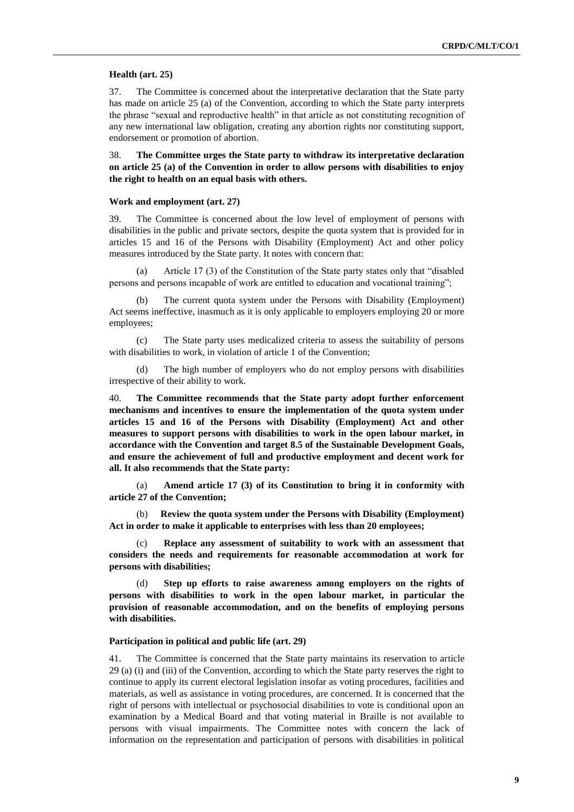### **Health (art. 25)**

37. The Committee is concerned about the interpretative declaration that the State party has made on article 25 (a) of the Convention, according to which the State party interprets the phrase "sexual and reproductive health" in that article as not constituting recognition of any new international law obligation, creating any abortion rights nor constituting support, endorsement or promotion of abortion.

38. **The Committee urges the State party to withdraw its interpretative declaration on article 25 (a) of the Convention in order to allow persons with disabilities to enjoy the right to health on an equal basis with others.** 

### **Work and employment (art. 27)**

39. The Committee is concerned about the low level of employment of persons with disabilities in the public and private sectors, despite the quota system that is provided for in articles 15 and 16 of the Persons with Disability (Employment) Act and other policy measures introduced by the State party. It notes with concern that:

(a) Article 17 (3) of the Constitution of the State party states only that "disabled persons and persons incapable of work are entitled to education and vocational training";

The current quota system under the Persons with Disability (Employment) Act seems ineffective, inasmuch as it is only applicable to employers employing 20 or more employees;

(c) The State party uses medicalized criteria to assess the suitability of persons with disabilities to work, in violation of article 1 of the Convention;

(d) The high number of employers who do not employ persons with disabilities irrespective of their ability to work.

40. **The Committee recommends that the State party adopt further enforcement mechanisms and incentives to ensure the implementation of the quota system under articles 15 and 16 of the Persons with Disability (Employment) Act and other measures to support persons with disabilities to work in the open labour market, in accordance with the Convention and target 8.5 of the Sustainable Development Goals, and ensure the achievement of full and productive employment and decent work for all. It also recommends that the State party:** 

(a) **Amend article 17 (3) of its Constitution to bring it in conformity with article 27 of the Convention;** 

(b) **Review the quota system under the Persons with Disability (Employment) Act in order to make it applicable to enterprises with less than 20 employees;** 

Replace any assessment of suitability to work with an assessment that **considers the needs and requirements for reasonable accommodation at work for persons with disabilities;**

Step up efforts to raise awareness among employers on the rights of **persons with disabilities to work in the open labour market, in particular the provision of reasonable accommodation, and on the benefits of employing persons with disabilities.** 

## **Participation in political and public life (art. 29)**

41. The Committee is concerned that the State party maintains its reservation to article 29 (a) (i) and (iii) of the Convention, according to which the State party reserves the right to continue to apply its current electoral legislation insofar as voting procedures, facilities and materials, as well as assistance in voting procedures, are concerned. It is concerned that the right of persons with intellectual or psychosocial disabilities to vote is conditional upon an examination by a Medical Board and that voting material in Braille is not available to persons with visual impairments. The Committee notes with concern the lack of information on the representation and participation of persons with disabilities in political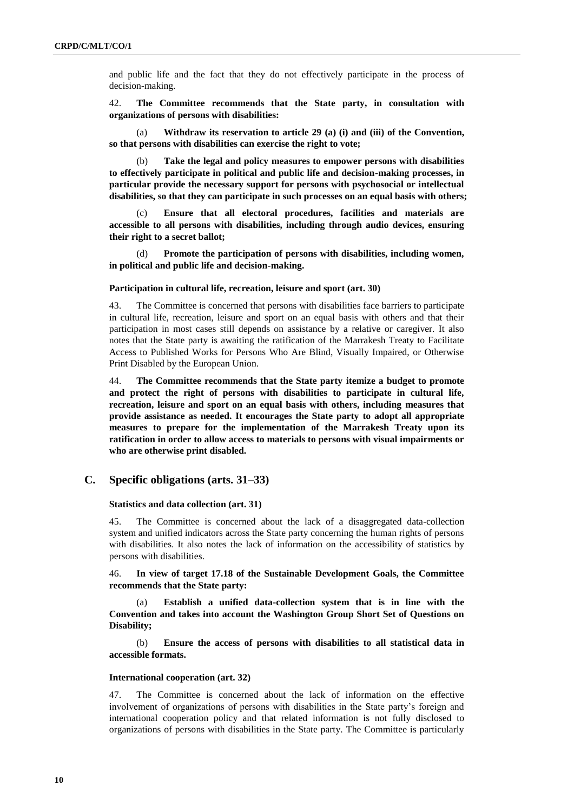and public life and the fact that they do not effectively participate in the process of decision-making.

42. **The Committee recommends that the State party, in consultation with organizations of persons with disabilities:**

(a) **Withdraw its reservation to article 29 (a) (i) and (iii) of the Convention, so that persons with disabilities can exercise the right to vote;** 

(b) **Take the legal and policy measures to empower persons with disabilities to effectively participate in political and public life and decision-making processes, in particular provide the necessary support for persons with psychosocial or intellectual disabilities, so that they can participate in such processes on an equal basis with others;** 

(c) **Ensure that all electoral procedures, facilities and materials are accessible to all persons with disabilities, including through audio devices, ensuring their right to a secret ballot;**

(d) **Promote the participation of persons with disabilities, including women, in political and public life and decision-making.**

### **Participation in cultural life, recreation, leisure and sport (art. 30)**

43. The Committee is concerned that persons with disabilities face barriers to participate in cultural life, recreation, leisure and sport on an equal basis with others and that their participation in most cases still depends on assistance by a relative or caregiver. It also notes that the State party is awaiting the ratification of the Marrakesh Treaty to Facilitate Access to Published Works for Persons Who Are Blind, Visually Impaired, or Otherwise Print Disabled by the European Union.

44. **The Committee recommends that the State party itemize a budget to promote and protect the right of persons with disabilities to participate in cultural life, recreation, leisure and sport on an equal basis with others, including measures that provide assistance as needed. It encourages the State party to adopt all appropriate measures to prepare for the implementation of the Marrakesh Treaty upon its ratification in order to allow access to materials to persons with visual impairments or who are otherwise print disabled.**

## **C. Specific obligations (arts. 31–33)**

## **Statistics and data collection (art. 31)**

45. The Committee is concerned about the lack of a disaggregated data-collection system and unified indicators across the State party concerning the human rights of persons with disabilities. It also notes the lack of information on the accessibility of statistics by persons with disabilities.

46. **In view of target 17.18 of the Sustainable Development Goals, the Committee recommends that the State party:**

Establish a unified data-collection system that is in line with the **Convention and takes into account the Washington Group Short Set of Questions on Disability;** 

(b) **Ensure the access of persons with disabilities to all statistical data in accessible formats.** 

### **International cooperation (art. 32)**

47. The Committee is concerned about the lack of information on the effective involvement of organizations of persons with disabilities in the State party's foreign and international cooperation policy and that related information is not fully disclosed to organizations of persons with disabilities in the State party. The Committee is particularly